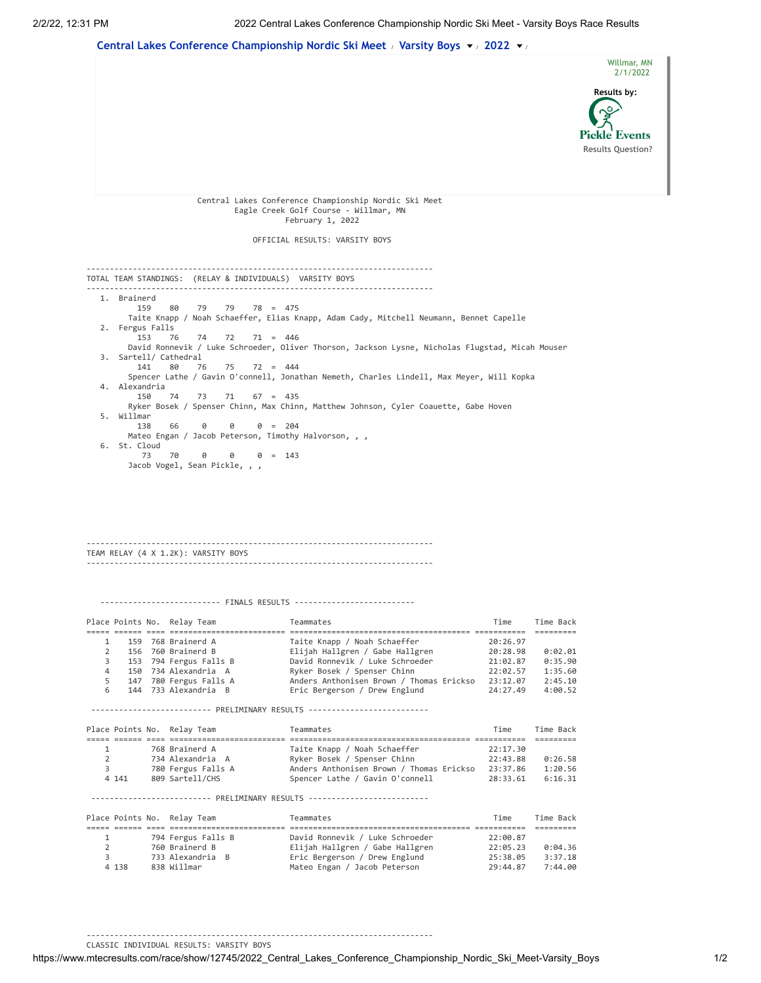

---------------------------------------------------------------------------

CLASSIC INDIVIDUAL RESULTS: VARSITY BOYS